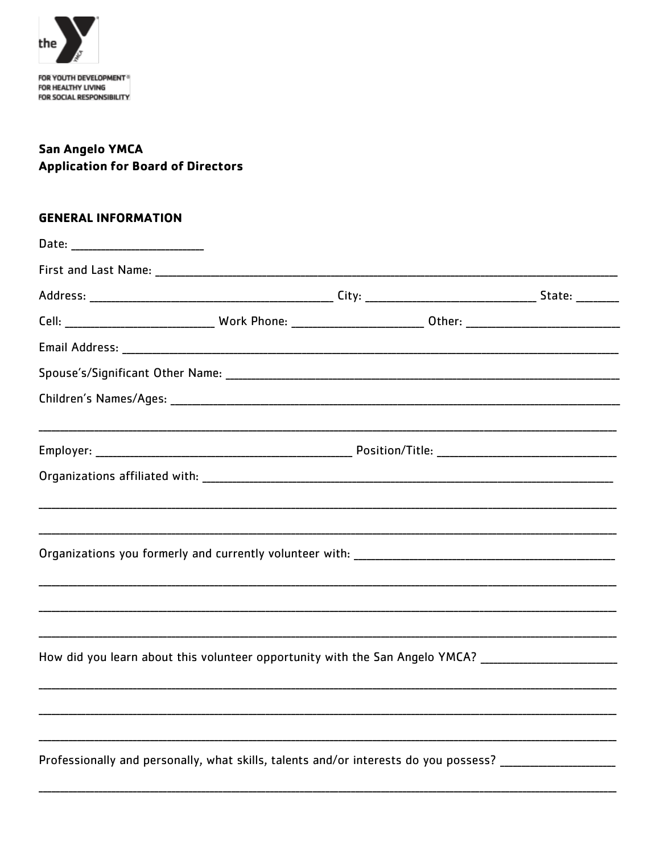

## **San Angelo YMCA Application for Board of Directors**

## **GENERAL INFORMATION**

| Date: ____________________________                                                                                   |  |  |  |
|----------------------------------------------------------------------------------------------------------------------|--|--|--|
|                                                                                                                      |  |  |  |
|                                                                                                                      |  |  |  |
| Cell: ________________________________Work Phone: ______________________________0ther: _____________________________ |  |  |  |
|                                                                                                                      |  |  |  |
|                                                                                                                      |  |  |  |
|                                                                                                                      |  |  |  |
|                                                                                                                      |  |  |  |
|                                                                                                                      |  |  |  |
|                                                                                                                      |  |  |  |
|                                                                                                                      |  |  |  |
|                                                                                                                      |  |  |  |
|                                                                                                                      |  |  |  |
| How did you learn about this volunteer opportunity with the San Angelo YMCA? _________________________________       |  |  |  |
|                                                                                                                      |  |  |  |
|                                                                                                                      |  |  |  |
| Professionally and personally, what skills, talents and/or interests do you possess? _________________________       |  |  |  |